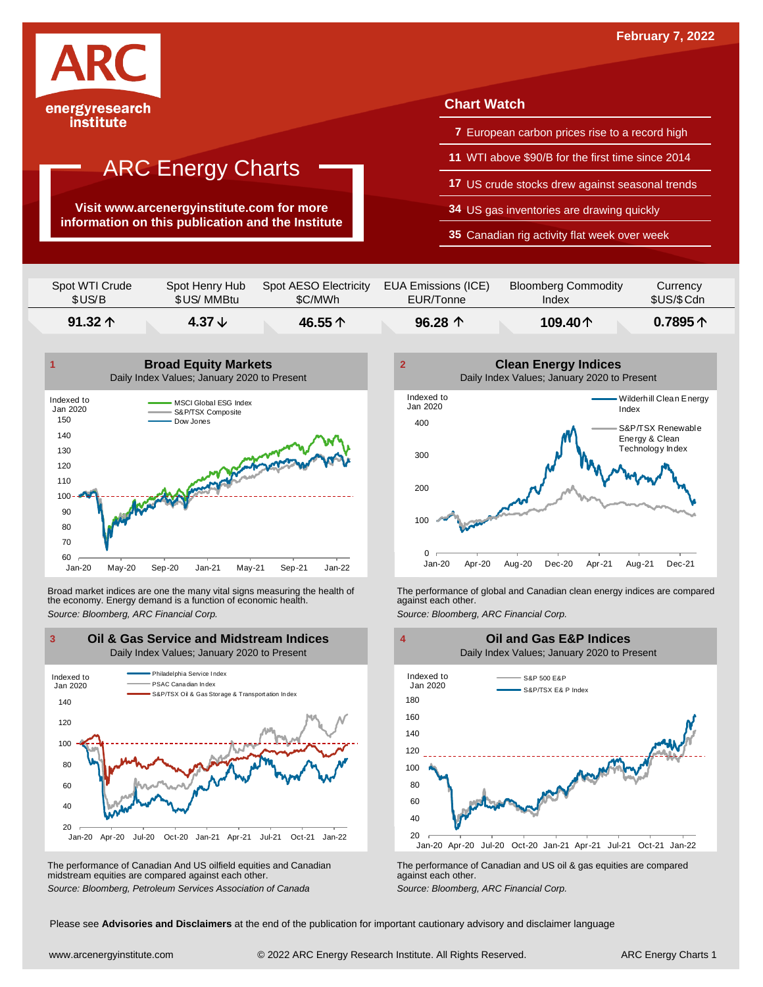

**Visit www.arcenergyinstitute.com for more information on this publication and the Institute**

## **Chart Watch**

- **7** European carbon prices rise to a record high
- **11** WTI above \$90/B for the first time since 2014
- **17** US crude stocks drew against seasonal trends
- **34** US gas inventories are drawing quickly
- **35** Canadian rig activity flat week over week

| $91.32 \uparrow$ | 4.37 $\downarrow$ | 46.55个                | 96.28 $\uparrow$    | 109.40个                    | 0.7895 $\uparrow$ |
|------------------|-------------------|-----------------------|---------------------|----------------------------|-------------------|
| Spot WTI Crude   | Spot Henry Hub    | Spot AESO Electricity | EUA Emissions (ICE) | <b>Bloomberg Commodity</b> | Currency          |
| \$US/B           | \$US/MMBtu        | \$C/MWh               | EUR/Tonne           | Index                      | \$US/\$Cdn        |



Broad market indices are one the many vital signs measuring the health of the economy. Energy demand is a function of economic health. Broad market indices are one the many vital signs measuring the health of The performance of global and Canadian clean energy indices are compared<br>the economy. Energy demand is a function of economic health.<br>Source: Bloomb



The performance of Canadian And US oilfield equities and Canadian midstream equities are compared against each other. *Source: Bloomberg, Petroleum Services Association of Canada* The performance of Canadian and US oil & gas equities are compared against each other. *Source: Bloomberg, ARC Financial Corp.*





Please see **Advisories and Disclaimers** at the end of the publication for important cautionary advisory and disclaimer language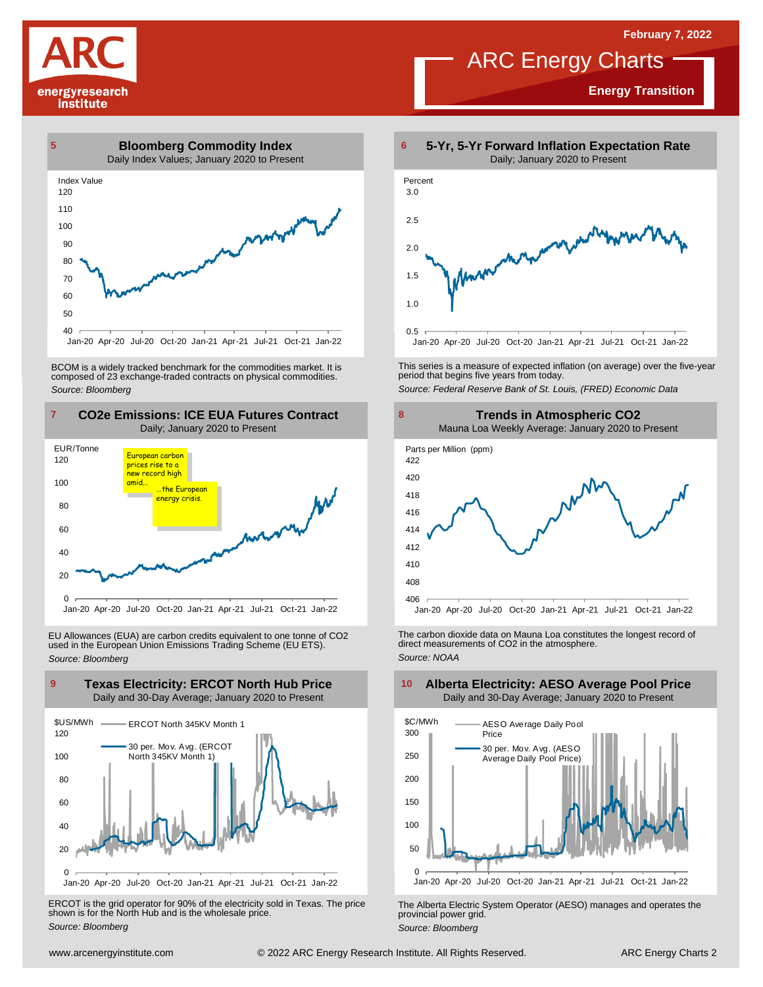

 $40$ 

## **Energy Transition**



BCOM is <sup>a</sup> widely tracked benchmark for the commodities market. It is composed of <sup>23</sup> exchange-traded contracts on physical commodities. *Source: Bloomberg*

Jan-20 Apr-20 Jul-20 Oct-20 Jan-21 Apr-21 Jul-21 Oct-21 Jan-22



EU Allowances (EUA) are carbon credits equivalent to one tonne of CO2 used in the European Union Emissions Trading Scheme (EU ETS). *Source: Bloomberg*



ERCOT is the grid operator for 90% of the electricity sold in Texas. The price shown is for the North Hub and is the wholesale price. *Source: Bloomberg*



This series is <sup>a</sup> measure of expected inflation (on average) over the five-year period that begins five years from today.

*Source: Federal Reserve Bank of St. Louis, (FRED) Economic Data*



The carbon dioxide data on Mauna Loa constitutes the longest record of direct measurements of CO2 in the atmosphere. *Source: NOAA*



The Alberta Electric System Operator (AESO) manages and operates the provincial power grid. *Source: Bloomberg*

## **Alberta Electricity: AESO Average Pool Price** Daily and 30-Day Average; January 2020 to Present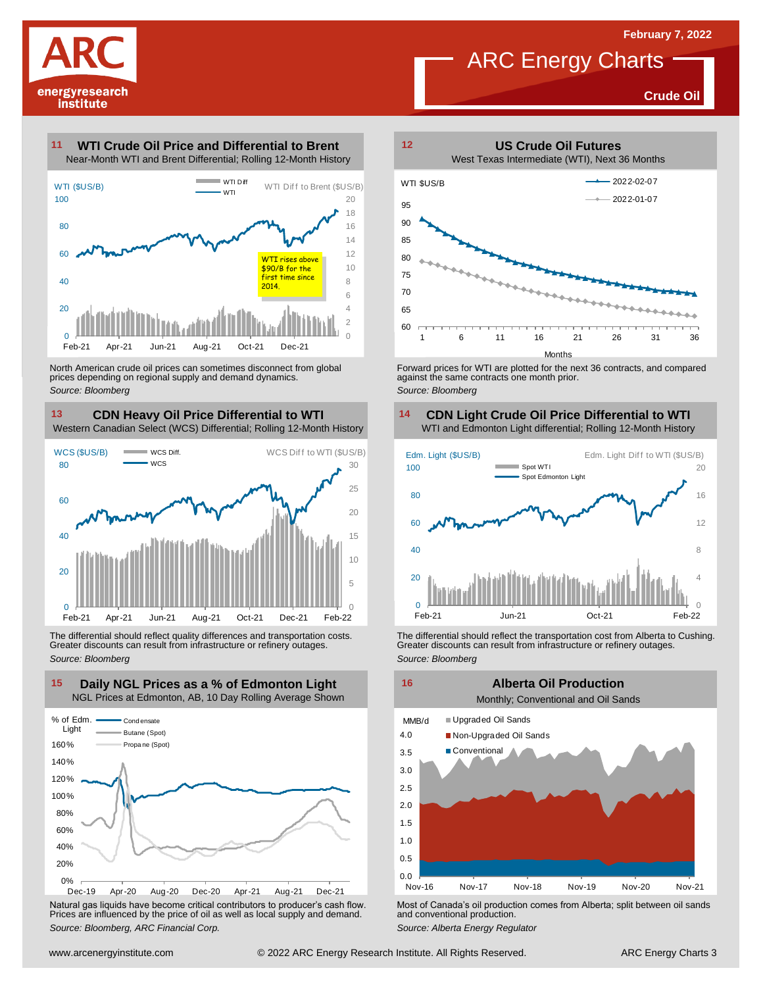

**Crude Oil**

## **WTI Crude Oil Price and Differential to Brent 11**



North American crude oil prices can sometimes disconnect from global prices depending on regional supply and demand dynamics. *Source: Bloomberg*

## **CDN Heavy Oil Price Differential to WTI 13 14**

Western Canadian Select (WCS) Differential; Rolling 12-Month History



The differential should reflect quality differences and transportation costs. Greater discounts can result from infrastructure or refinery outages. *Source: Bloomberg*



Natural gas liquids have become critical contributors to producer's cash flow. Most of Canada's oil production comes from Alberta; split between oil sands<br>Prices are influenced by the price of oil as well as local supply a



Forward prices for WTI are plotted for the next 36 contracts, and compared against the same contracts one month prior. *Source: Bloomberg*

# **CDN Light Crude Oil Price Differential to WTI**



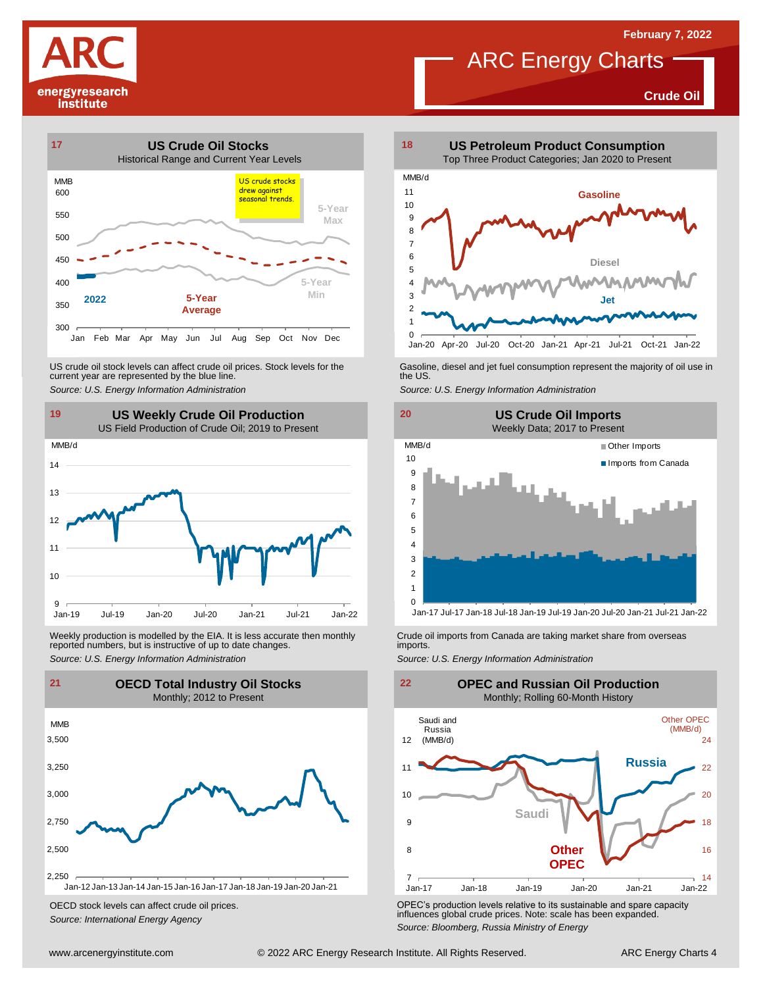**Crude Oil**

# energyresearch institute



US crude oil stock levels can affect crude oil prices. Stock levels for the Gasoline, diesel and jet fuel consumption represent the majority of oil use in<br>current year are represented by the blue line.<br>Source: U.S. Energy



Weekly production is modelled by the EIA. It is less accurate then monthly Crude oil imports from Canada are taking market share from overseas<br>The imports in the more from overseas imports imports.<br>Source: U.S. Energy Info



OECD stock levels can affect crude oil prices. *Source: International Energy Agency*



**ARC Energy Charts** 

Jan-20 Apr-20 Jul-20 Oct-20 Jan-21 Apr-21 Jul-21 Oct-21 Jan-22



Jan-17 Jul-17 Jan-18 Jul-18 Jan-19 Jul-19 Jan-20 Jul-20 Jan-21 Jul-21 Jan-22



OPEC's production levels relative to its sustainable and spare capacity influences global crude prices. Note: scale has been expanded. *Source: Bloomberg, Russia Ministry of Energy*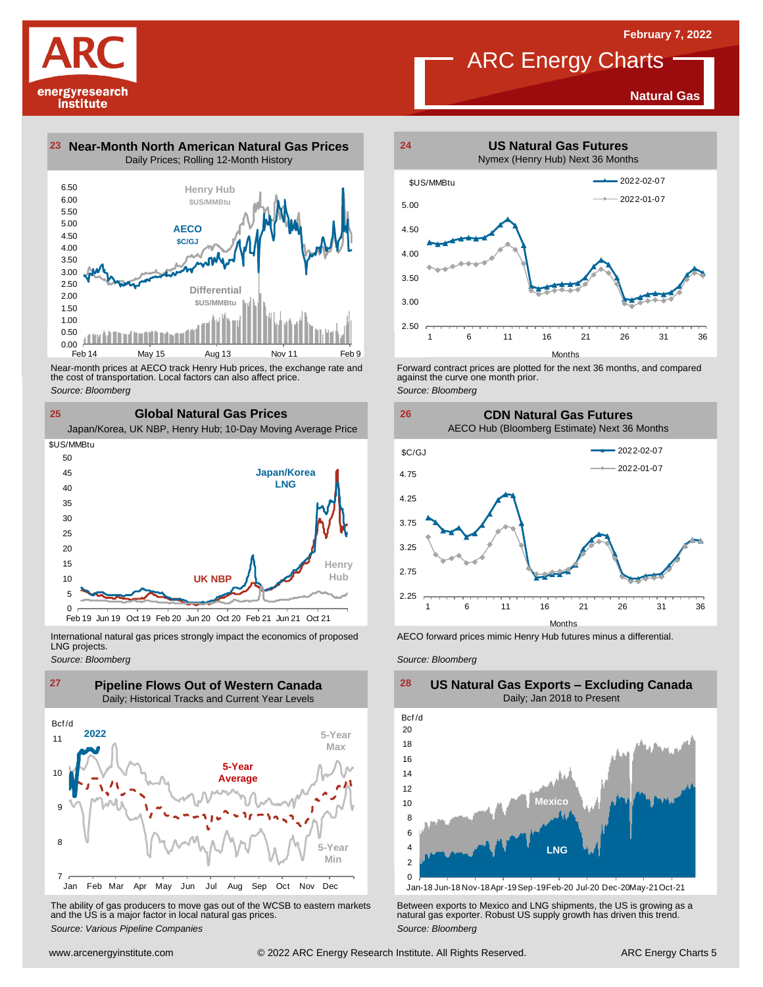## **Natural Gas**

**23 Near-Month North American Natural Gas Prices 24** Daily Prices; Rolling 12-Month History



Near-month prices at AECO track Henry Hub prices, the exchange rate and<br>the cost of transportation. Local factors can also affect price.<br>Source: Bloomberg<br>**CIObal Natural Gas Prices**<br>Japan/Korea, UK NBP, Henry Hub; 10-Day the cost of transportation. Local factors can also affect price. *Source: Bloomberg*

**Global Natural Gas Prices**



International natural gas prices strongly impact the economics of proposed LNG projects.

*Source: Bloomberg*

**25**

energyresearch institute



The ability of gas producers to move gas out of the WCSB to eastern markets Between exports to Mexico and LNG shipments, the US is growing as a<br>and the US is a major factor in local natural gas prices.<br>Source: Bloomberg Va



ARC Energy Charts

Forward contract prices are plotted for the next <sup>36</sup> months, and compared against the curve one month prior. *Source: Bloomberg*





AECO forward prices mimic Henry Hub futures minus a differential.

*Source: Bloomberg*



### **US Natural Gas Exports – Excluding Canada** Daily; Jan 2018 to Present

Jan-18 Jun-18 Nov-18Apr-19Sep-19Feb-20 Jul-20 Dec-20May-21Oct-21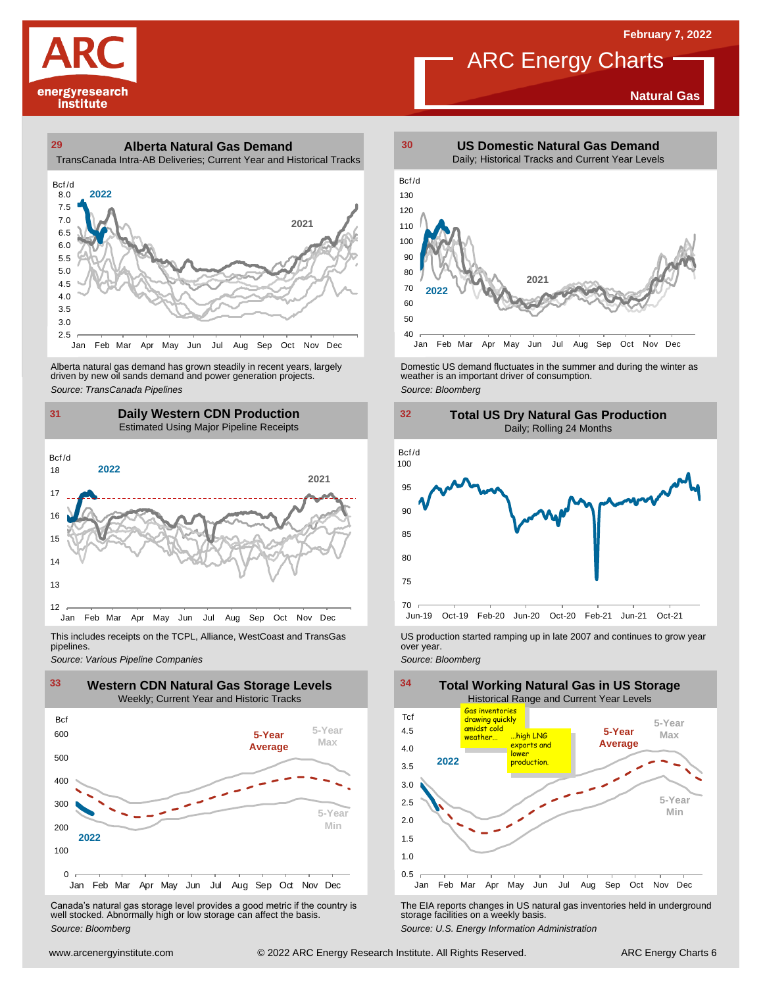**Natural Gas**

# energyresearch institute

## **29 30 Alberta Natural Gas Demand** TransCanada Intra-AB Deliveries; Current Year and Historical Tracks



Alberta natural gas demand has grown steadily in recent years, largely<br>
driven by new oil sands demand and power generation projects.<br>
Source: *Bloomberg*<br>
Source: *Bloomberg*<br>
Daily Western CDN Production<br>
Estimated Using Alberta natural gas demand has grown steadily in recent years, largely **Domestic US demand fluctuates in the summer** and during the winter as driven by new oil sands demand and power generation projects.<br>Ariven by new oil

## **31 32 Daily Western CDN Production** Estimated Using Major Pipeline Receipts  $\frac{31}{\text{Bcf/d}}$



This includes receipts on the TCPL, Alliance, WestCoast and TransGas pipelines.



WE Canada's natural gas storage level provides a good metric if the country is<br>
Canada's natural gas storage level provides a good metric if the country is<br>
Well stocked. Abnormally high or low storage can affect the basi Canada's natural gas storage level provides <sup>a</sup> good metric if the country is well stocked. Abnormally high or low storage can affect the basis. *Source: Bloomberg*



**ARC Energy Charts** 





*Source: Pipelines Pipelines Pipelines Pipelines Pipelines Companies Pipeline Pipelines Pipelines Pipelines Pipelines Companies Pipeline Companies Pipeline Companies Pipeline Companies Pip* 



The EIA reports changes in US natural gas inventories held in underground storage facilities on <sup>a</sup> weekly basis.

*Source: U.S. Energy Information Administration*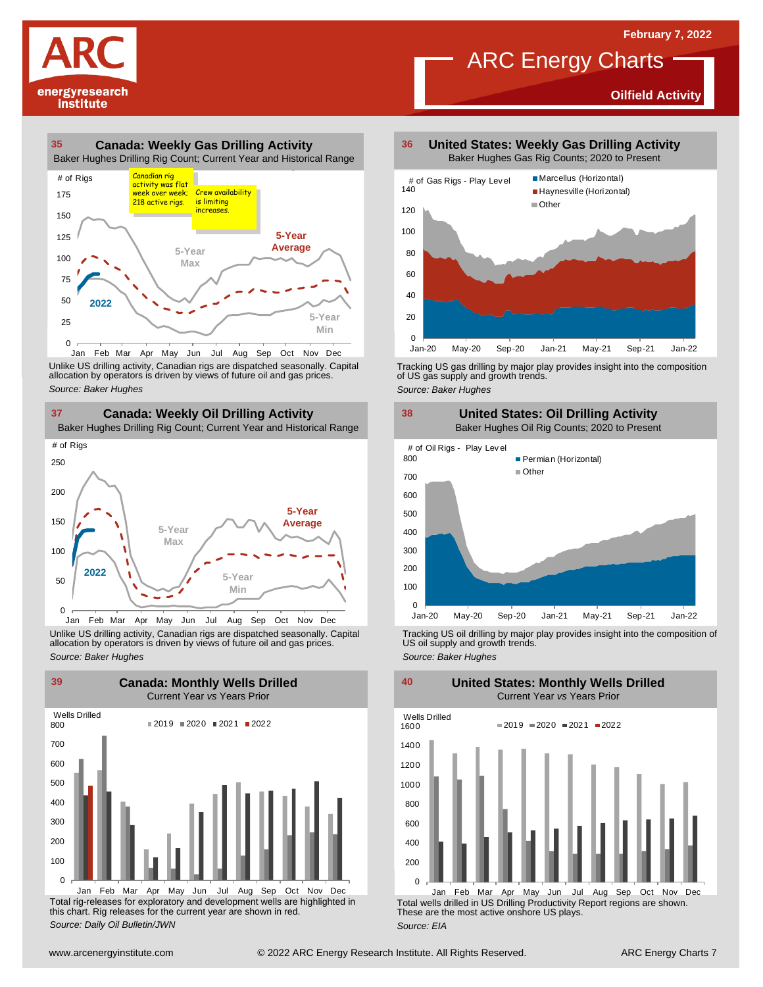**Oilfield Activity**



### **35 36 Canada: Weekly Gas Drilling Activity** Baker Hughes Drilling Rig Count; Current Year and Historical Range



Unlike US drilling activity, Canadian rigs are dispatched seasonally. Capital<br>allocation by operators is driven by views of future oil and gas prices. 0<br>Jan Feb Mar<br>Unlike US drilling activi<br>allocation by operators<br>Source: Baker Hughes



Unlike US drilling activity, Canadian rigs are dispatched seasonally. Capital Tracking US oil drilling by major play provides insight into the composition of<br>allocation by operators is driven by views of future oil and gas



Total rig-releases for exploratory and development wells are highlighted in this chart. Rig releases for the current year are shown in red. *Source: Daily Oil Bulletin/JWN*

**United States: Weekly Gas Drilling Activity** Baker Hughes Gas Rig Counts; 2020 to Present

ARC Energy Charts



Tracking US gas drilling by major play provides insight into the composition of US gas supply and growth trends.

*Source: Baker Hughes*



Tracking US oil drilling by major play provides insight into the composition of US oil supply and growth trends. *Source: Baker Hughes*

**United States: Monthly Wells Drilled**

0 200 400 600 800 1000 1200 1400 1600 Wells Drilled  $2019 = 2020 = 2021 = 2022$ 

Total wells drilled in US Drilling Productivity Report regions are shown. These are the most active onshore US plays. *Source: EIA* Jan Feb Mar Apr May Jun Jul Aug Sep Oct Nov Dec